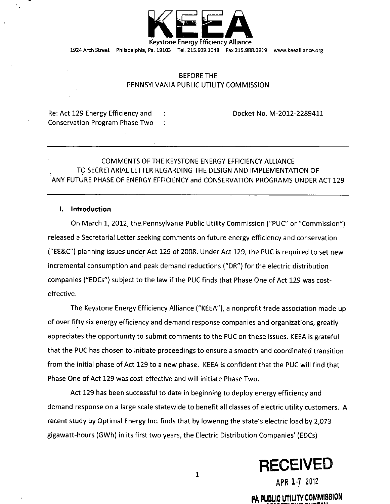

1924 Arch Street Philadelphia, Pa. 19103 Tel. 215.609.1048 Fax 215.988.0919 www.keealliance.org

# BEFORE THE PENNSYLVANIA PUBLIC UTILITY COMMISSION

Re: Act 129 Energy Efficiency and Docket No. M-2012-2289411 Conservation Program Phase Two :

# COMMENTS OF THE KEYSTONE ENERGY EFFICIENCY ALLIANCE TO SECRETARIAL LETTER REGARDING THE DESIGN AND IMPLEMENTATION OF ANY FUTURE PHASE OF ENERGY EFFICIENCY and CONSERVATION PROGRAMS UNDER ACT 129

## I. Introduction

On March 1, 2012, the Pennsylvania Public Utility Commission ("PUC" or "Commission") released a Secretarial Letter seeking comments on future energy efficiency and conservation ("EE&C") planning issues under Act 129 of 2008. Under Act 129, the PUC is required to set new incremental consumption and peak demand reductions ("DR") for the electric distribution companies ("EDCs") subject to the law if the PUC finds that Phase One of Act 129 was costeffective.

The Keystone Energy Efficiency Alliance ("KEEA"), a nonprofit trade association made up of over fifty six energy efficiency and demand response companies and organizations, greatly appreciates the opportunity to submit comments to the PUC on these issues. KEEA is grateful that the PUC has chosen to initiate proceedings to ensure a smooth and coordinated transition from the initial phase of Act 129 to a new phase. KEEA is confident that the PUC will find that Phase One of Act 129 was cost-effective and will initiate Phase Two.

Act 129 has been successful to date in beginning to deploy energy efficiency and demand response on a large scale statewide to benefit all classes of electric utility customers. A recent study by Optimal Energy Inc. finds that by lowering the state's electric load by 2,073 gigawatt-hours (GWh) in its first two years, the Electric Distribution Companies' (EDCs)



**APR 1-7 2012** 

**PA PUBLIC UTILITY COMMISSION** 

 $\mathbf{1}$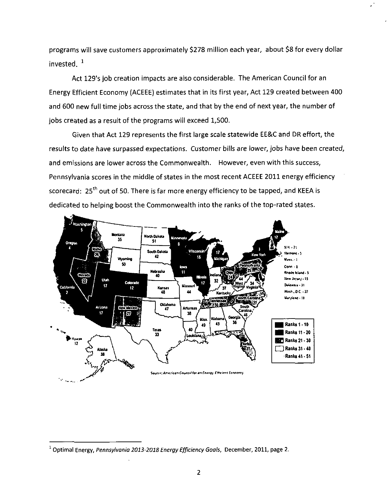programs will save customers approximately \$278 million each year, about \$8 for every dollar invested. <sup>1</sup>

Act 129's job creation impacts are also considerable. The American Council for an Energy Efficient Economy (ACEEE) estimates that in its first year, Act 129 created between 400 and 600 new full time jobs across the state, and that by the end of next year, the number of jobs created as a result of the programs will exceed 1,500.

Given that Act 129 represents the first large scale statewide EE&C and DR effort, the results to date have surpassed expectations. Customer bills are lower, jobs have been created, and emissions are lower across the Commonwealth. However, even with this success, Pennsylvania scores in the middle of states in the most recent ACEEE 2011 energy efficiency scorecard:  $25<sup>th</sup>$  out of 50. There is far more energy efficiency to be tapped, and KEEA is dedicated to helping boost the Commonwealth into the ranks of the top-rated states.



<sup>1</sup> Optimal Energy, Pennsylvania 2013-2018 Energy Efficiency Goals, December, 2011, page 2.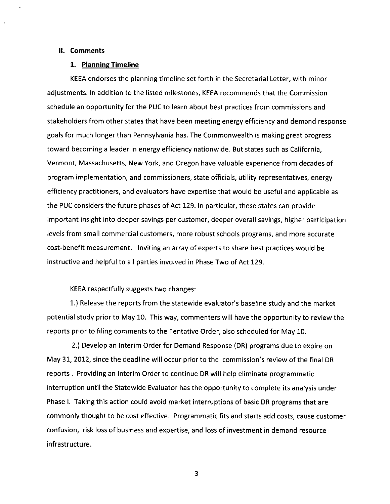#### II. Comments

## 1. Planning Timeline

KEEA endorses the planning timeline set forth in the Secretarial Letter, with minor adjustments. In addition to the listed milestones, KEEA recommends that the Commission schedule an opportunity for the PUC to learn about best practices from commissions and stakeholders from other states that have been meeting energy efficiency and demand response goals for much longer than Pennsylvania has. The Commonwealth is making great progress toward becoming a leader in energy efficiency nationwide. But states such as California, Vermont, Massachusetts, New York, and Oregon have valuable experience from decades of program implementation, and commissioners, state officials, utility representatives, energy efficiency practitioners, and evaluators have expertise that would be useful and applicable as the PUC considers the future phases of Act 129. In particular, these states can provide important insight into deeper savings per customer, deeper overall savings, higher participation levels from small commercial customers, more robust schools programs, and more accurate cost-benefit measurement. Inviting an array of experts to share best practices would be instructive and helpful to all parties involved in Phase Two of Act 129.

## KEEA respectfully suggests two changes:

1. ) Release the reports from the statewide evaluator's baseline study and the market potential study prior to May 10. This way, commenters will have the opportunity to review the reports prior to filing comments to the Tentative Order, also scheduled for May 10.

2. ) Develop an Interim Order for Demand Response (DR) programs due to expire on May 31, 2012, since the deadline will occur priorto the commission's review of the final DR reports . Providing an Interim Order to continue DR will help eliminate programmatic interruption until the Statewide Evaluator has the opportunity to complete its analysis under Phase I. Taking this action could avoid market interruptions of basic DR programs that are commonly thought to be cost effective. Programmatic fits and starts add costs, cause customer confusion, risk loss of business and expertise, and loss of investment in demand resource infrastructure.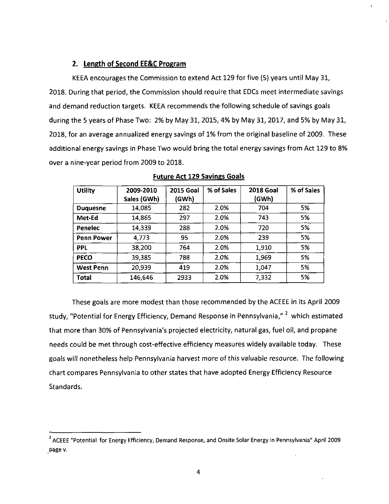# **2. Length of Second EE&C Program**

KEEA encourages the Commission to extend Act 129 for five (5) years until May 31, 2018. During that period, the Commission should require that EDCs meet intermediate savings and demand reduction targets. KEEA recommends the following schedule of savings goals during the 5 years of Phase Two: 2% by May 31, 2015, 4% by May 31, 2017, and 5% by May 31, 2018, for an average annualized energy savings of 1% from the original baseline of 2009. These additional energy savings in Phase Two would bring the total energy savings from Act 129 to 8% over a nine-year period from 2009 to 2018.

| <b>Utility</b>    | 2009-2010   | <b>2015 Goal</b> | % of Sales | <b>2018 Goal</b> | % of Sales |
|-------------------|-------------|------------------|------------|------------------|------------|
|                   | Sales (GWh) | (GWh)            |            | (GWh)            |            |
| <b>Duguesne</b>   | 14.085      | 282              | 2.0%       | 704              | 5%         |
| Met-Ed            | 14,865      | 297              | 2.0%       | 743              | 5%         |
| Penelec           | 14,339      | 288              | 2.0%       | 720              | 5%         |
| <b>Penn Power</b> | 4,773       | 95               | 2.0%       | 239              | 5%         |
| <b>PPL</b>        | 38,200      | 764              | 2.0%       | 1,910            | 5%         |
| <b>PECO</b>       | 39,385      | 788              | 2.0%       | 1,969            | 5%         |
| <b>West Penn</b>  | 20,939      | 419              | 2.0%       | 1,047            | 5%         |
| <b>Total</b>      | 146,646     | 2933             | 2.0%       | 7,332            | 5%         |

Future Act 129 Savings Goals

These goals are more modest than those recommended by the ACEEE in its April 2009 study, "Potential for Energy Efficiency, Demand Response in Pennsylvania," <sup>2</sup> which estimated that more than 30% of Pennsylvania's projected electricity, natural gas, fuel oil, and propane needs could be met through cost-effective efficiency measures widely available today. These goals will nonetheless help Pennsylvania harvest more of this valuable resource. The following chart compares Pennsylvania to other states that have adopted Energy Efficiency Resource Standards.

<sup>&</sup>lt;sup>2</sup> ACEEE "Potential for Energy Efficiency, Demand Response, and Onsite Solar Energy in Pennsylvania" April 2009 page v.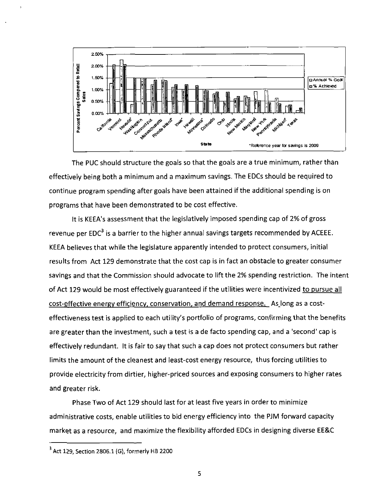

The PUC should structure the goals so that the goals are a true minimum, rather than effectively being both a minimum and a maximum savings. The EDCs should be required to continue program spending after goals have been attained if the additional spending is on programs that have been demonstrated to be cost effective.

It is KEEA's assessment that the legislatively imposed spending cap of 2% of gross revenue per EDC<sup>3</sup> is a barrier to the higher annual savings targets recommended by ACEEE. KEEA believes that while the legislature apparently intended to protect consumers, initial results from Act 129 demonstrate that the cost cap is in fact an obstacle to greater consumer savings and that the Commission should advocate to lift the 2% spending restriction. The intent of Act 129 would be most effectively guaranteed if the utilities were incentivized to pursue all cost-effective energy efficiency, conservation, and demand response. As long as a costeffectiveness test is applied to each utility's portfolio of programs, confirming that the benefits are greater than the investment, such a test is a de facto spending cap, and a 'second' cap is effectively redundant. It is fair to say that such a cap does not protect consumers but rather limits the amount of the cleanest and least-cost energy resource, thus forcing utilities to provide electricity from dirtier, higher-priced sources and exposing consumers to higher rates and greater risk.

Phase Two of Act 129 should last for at least five years in order to minimize administrative costs, enable utilities to bid energy efficiency into the PJM forward capacity market as a resource, and maximize the flexibility afforded EDCs in designing diverse EE&C

 $3$  Act 129, Section 2806.1 (G), formerly HB 2200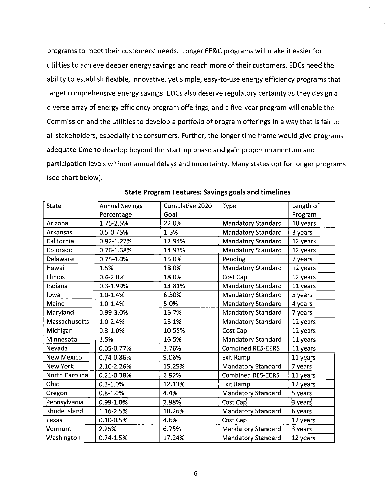programs to meet their customers' needs. Longer EE&C programs will make it easier for utilities to achieve deeper energy savings and reach more of their customers. EDCs need the ability to establish flexible, innovative, yet simple, easy-to-use energy efficiency programs that target comprehensive energy savings. EDCs also deserve regulatory certainty as they design a diverse array of energy efficiency program offerings, and a five-year program will enable the Commission and the utilities to develop a portfolio of program offerings in a way that is fair to ali stakeholders, especially the consumers. Further, the longer time frame would give programs adequate time to develop beyond the start-up phase and gain proper momentum and participation levels without annual delays and uncertainty. Many states opt for longer programs (see chart below).

| <b>State</b>      | <b>Annual Savings</b> | Cumulative 2020 | Type                      | Length of |
|-------------------|-----------------------|-----------------|---------------------------|-----------|
|                   | Percentage            | Goal            |                           | Program   |
| Arizona           | 1.75-2.5%             | 22.0%           | Mandatory Standard        | 10 years  |
| <b>Arkansas</b>   | 0.5-0.75%             | 1.5%            | Mandatory Standard        | 3 years   |
| California        | 0.92-1.27%            | 12.94%          | Mandatory Standard        | 12 years  |
| Colorado          | 0.76-1.68%            | 14.93%          | <b>Mandatory Standard</b> | 12 years  |
| Delaware          | 0.75-4.0%             | 15.0%           | Pending                   | 7 years   |
| Hawaii            | 1.5%                  | 18.0%           | Mandatory Standard        | 12 years  |
| Illinois          | $0.4 - 2.0%$          | 18.0%           | Cost Cap                  | 12 years  |
| Indiana           | 0.3-1.99%             | 13.81%          | Mandatory Standard        | 11 years  |
| lowa              | 1.0-1.4%              | 6.30%           | Mandatory Standard        | 5 years   |
| Maine             | $1.0 - 1.4%$          | 5.0%            | Mandatory Standard        | 4 years   |
| Maryland          | 0.99-3.0%             | 16.7%           | Mandatory Standard        | 7 years   |
| Massachusetts     | 1.0-2.4%              | 26.1%           | Mandatory Standard        | 12 years  |
| Michigan          | $0.3 - 1.0%$          | 10.55%          | Cost Cap                  | 12 years  |
| Minnesota         | 1.5%                  | 16.5%           | <b>Mandatory Standard</b> | 11 years  |
| Nevada            | 0.05-0.77%            | 3.76%           | <b>Combined RES-EERS</b>  | 11 years  |
| <b>New Mexico</b> | 0.74-0.86%            | 9.06%           | Exit Ramp                 | 11 years  |
| <b>New York</b>   | 2.10-2.26%            | 15.25%          | <b>Mandatory Standard</b> | 7 years   |
| North Carolina    | 0.21-0.38%            | 2.92%           | <b>Combined RES-EERS</b>  | 11 years  |
| Ohio              | $0.3 - 1.0%$          | 12.13%          | Exit Ramp                 | 12 years  |
| Oregon            | $0.8 - 1.0\%$         | 4.4%            | Mandatory Standard        | 5 years   |
| Pennsylvania      | 0.99-1.0%             | 2.98%           | Cost Cap                  | 3 years   |
| Rhode Island      | 1.16-2.5%             | 10.26%          | <b>Mandatory Standard</b> | 6 years   |
| <b>Texas</b>      | $0.10 - 0.5%$         | 4.6%            | Cost Cap                  | 12 years  |
| Vermont           | 2.25%                 | 6.75%           | Mandatory Standard        | 3 years   |
| Washington        | $0.74 - 1.5%$         | 17.24%          | Mandatory Standard        | 12 years  |

#### **State Program Features: Savings goals and timelines**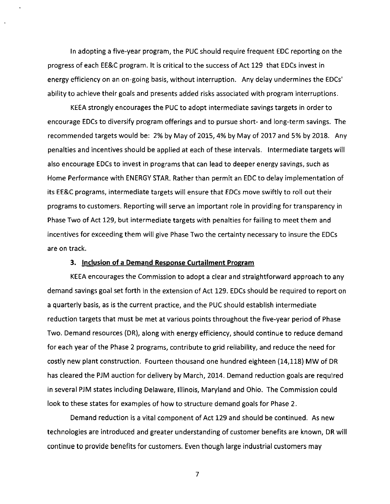In adopting a five-year program, the PUC should require frequent EDC reporting on the progress of each EE&C program. It is critical to the success of Act 129 that EDCs invest in energy efficiency on an on-going basis, without interruption. Any delay undermines the EDCs' ability to achieve their goals and presents added risks associated with program interruptions.

KEEA strongly encourages the PUC to adopt intermediate savings targets in order to encourage EDCs to diversify program offerings and to pursue short- and long-term savings. The recommended targets would be: 2% by May of 2015, 4% by May of 2017 and 5% by 2018. Any penalties and incentives should be applied at each of these intervals. Intermediate targets will also encourage EDCs to invest in programs that can lead to deeper energy savings, such as Home Performance with ENERGY STAR. Rather than permit an EDC to delay implementation of its EE&C programs, intermediate targets will ensure that EDCs move swiftly to roll out their programs to customers. Reporting will serve an important role in providing for transparency in Phase Two of Act 129, but intermediate targets with penalties for failing to meet them and incentives for exceeding them will give Phase Two the certainty necessary to insure the EDCs are on track.

## **3. Inclusion of a Demand Response Curtailment Program**

KEEA encourages the Commission to adopt a clear and straightforward approach to any demand savings goal set forth in the extension of Act 129. EDCs should be required to report on a quarterly basis, as is the current practice, and the PUC should establish intermediate reduction targets that must be met at various points throughout the five-year period of Phase Two. Demand resources (DR), along with energy efficiency, should continue to reduce demand for each year of the Phase 2 programs, contribute to grid reliability, and reduce the need for costly new plant construction. Fourteen thousand one hundred eighteen (14,118) MW of DR has cleared the PJM auction for delivery by March, 2014. Demand reduction goals are required in several PJM states including Delaware, Illinois, Maryland and Ohio. The Commission could look to these states for examples of how to structure demand goals for Phase 2.

Demand reduction is a vital component of Act 129 and should be continued. As new technologies are introduced and greater understanding of customer benefits are known, DR will continue to provide benefits for customers. Even though large industrial customers may

 $\overline{7}$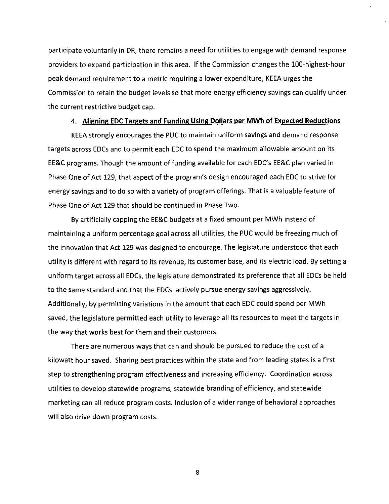participate voluntarily in DR, there remains a need for utilities to engage with demand response providers to expand participation in this area. If the Commission changes the 100-highest-hour peak demand requirement to a metric requiring a lower expenditure, KEEA urges the Commission to retain the budget levels so that more energy efficiency savings can qualify under the current restrictive budget cap.

# **4. Aliening EDC Targets and Funding Using Dollars per MWh of Expected Reductions**

KEEA strongly encourages the PUC to maintain uniform savings and demand response targets across EDCs and to permit each EDC to spend the maximum allowable amount on its EE&C programs. Though the amount of funding available for each EDC's EE&C plan varied in Phase One of Act 129, that aspect of the program's design encouraged each EDC to strive for energy savings and to do so with a variety of program offerings. That is a valuable feature of Phase One of Act 129 that should be continued in Phase Two.

By artificially capping the EE&C budgets at a fixed amount per MWh instead of maintaining a uniform percentage goal across all utilities, the PUC would be freezing much of the innovation that Act 129 was designed to encourage. The legislature understood that each utility is different with regard to its revenue, its customer base, and its electric load. By setting a uniform target across ali EDCs, the legislature demonstrated its preference that all EDCs be held to the same standard and that the EDCs actively pursue energy savings aggressively. Additionally, by permitting variations in the amount that each EDC could spend per MWh saved, the legislature permitted each utility to leverage all its resources to meet the targets in the way that works best for them and their customers.

There are numerous ways that can and should be pursued to reduce the cost of a kilowatt hour saved. Sharing best practices within the state and from leading states is a first step to strengthening program effectiveness and increasing efficiency. Coordination across utilities to develop statewide programs, statewide branding of efficiency, and statewide marketing can all reduce program costs. Inclusion of a wider range of behavioral approaches will also drive down program costs.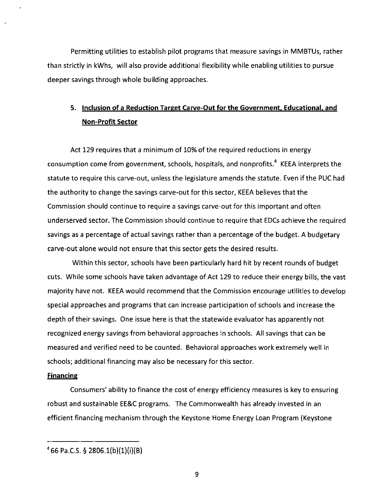Permitting utilities to establish pilot programs that measure savings in MMBTUs, rather than strictly in kWhs, will also provide additional flexibility while enabling utilities to pursue deeper savings through whole building approaches.

# **5. Inclusion of a Reduction Target Carve-Out for the Government, Educational, and Non-Profit Sector**

Act 129 requires that a minimum of 10% of the required reductions in energy consumption come from government, schools, hospitals, and nonprofits.<sup>4</sup> KEEA interprets the statute to require this carve-out, unless the legislature amends the statute. Even if the PUC had the authority to change the savings carve-out for this sector, KEEA believes that the Commission should continue to require a savings carve-out for this important and often underserved sector. The Commission should continue to require that EDCs achieve the required savings as a percentage of actual savings rather than a percentage of the budget. A budgetary carve-out alone would not ensure that this sector gets the desired results.

**Within this sector, schools have been particularly hard hit by recent rounds of budget cuts. While some schools have taken advantage of Act 129 to reduce their energy bills, the vast majority have not. KEEA would recommend that the Commission encourage utilities to develop special approaches and programs that can increase participation of schools and increase the depth of their savings. One issue here is that the statewide evaluator has apparently not recognized energy savings from behavioral approaches in schools. All savings that can be measured and verified need to be counted. Behavioral approaches work extremely well in schools; additional financing may also be necessary for this sector.** 

## **Financing**

Consumers' ability to finance the cost of energy efficiency measures is key to ensuring robust and sustainable EE&C programs. The Commonwealth has already invested in an efficient financing mechanism through the Keystone Home Energy Loan Program (Keystone

 $466$  Pa.C.S. § 2806.1(b)(1)(i)(B)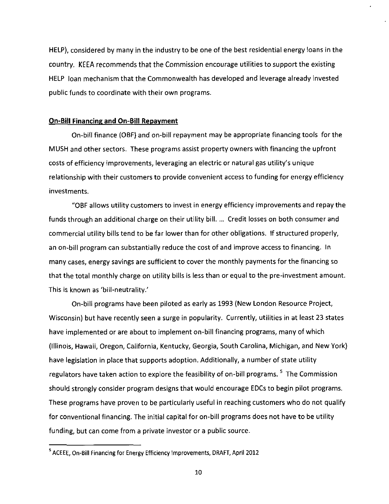HELP), considered by many in the industry to be one of the best residential energy loans in the country. KEEA recommends that the Commission encourage utilities to support the existing HELP loan mechanism that the Commonwealth has developed and leverage already invested public funds to coordinate with their own programs.

## **On-Bill Financing and On-Bill Repayment**

On-bid finance (OBF) and on-bill repayment may be appropriate financing tools for the MUSH and other sectors. These programs assist property owners with financing the upfront costs of efficiency improvements, leveraging an electric or natural gas utility's unique relationship with their customers to provide convenient access to funding for energy efficiency investments.

"OBF allows utility customers to invest in energy efficiency improvements and repay the funds through an additional charge on their utility bill. ... Credit losses on both consumer and commercial utility bills tend to be far lower than for other obligations. If structured properly, an on-bill program can substantially reduce the cost of and improve access to financing. In many cases, energy savings are sufficient to cover the monthly payments for the financing so that the total monthly charge on utility bills is less than or equal to the pre-investment amount. This is known as 'bill-neutrality.'

On-bill programs have been piloted as early as 1993 (New London Resource Project, Wisconsin) but have recently seen a surge in popularity. Currently, utilities in at least 23 states have implemented or are about to implement on-bill financing programs, many of which (Illinois, Hawaii, Oregon, California, Kentucky, Georgia, South Carolina, Michigan, and New York) have legislation in place that supports adoption. Additionally, a number of state utility regulators have taken action to explore the feasibility of on-bill programs. <sup>5</sup> The Commission should strongly consider program designs that would encourage EDCs to begin pilot programs. These programs have proven to be particularly useful in reaching customers who do not qualify for conventional financing. The initial capital for on-bill programs does not have to be utility funding, but can come from a private investor or a public source.

<sup>5</sup> ACEEE, On-Bill Financing for Energy Efficiency Improvements, DRAFT, April 2012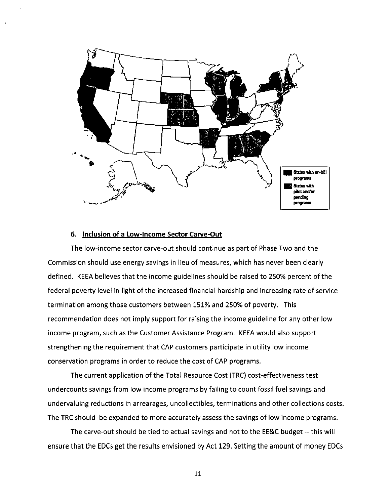

## 6. Inclusion of a Low-Income Sector Carve-Out

The low-income sector carve-out should continue as part of Phase Two and the Commission should use energy savings in lieu of measures, which has never been clearly defined. KEEA believes that the income guidelines should be raised to 250% percent of the federal poverty level in light of the increased financial hardship and increasing rate of service termination among those customers between 151% and 250% of poverty. This recommendation does not imply support for raising the income guideline for any other low income program, such as the Customer Assistance Program. KEEA would also support strengthening the requirement that CAP customers participate in utility low income conservation programs in order to reduce the cost of CAP programs.

The current application of the Total Resource Cost (TRC) cost-effectiveness test undercounts savings from low income programs by failing to count fossil fuel savings and undervaluing reductions in arrearages, uncollectibles, terminations and other collections costs. The TRC should be expanded to more accurately assess the savings of low income programs.

The carve-out should be tied to actual savings and not to the EE&C budget -- this will ensure that the EDCs get the results envisioned by Act 129. Setting the amount of money EDCs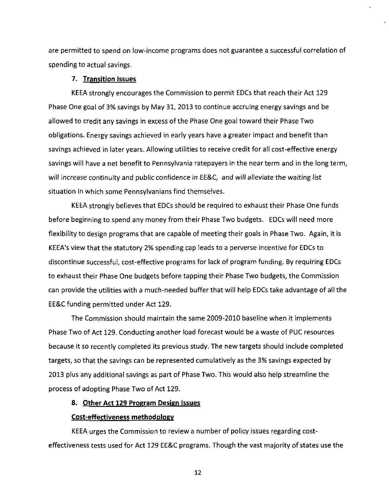are permitted to spend on low-income programs does not guarantee a successful correlation of spending to actual savings.

## **7. Transition Issues**

KEEA strongly encourages the Commission to permit EDCs that reach their Act 129 Phase One goal of 3% savings by May 31, 2013 to continue accruing energy savings and be allowed to credit any savings in excess of the Phase One goal toward their Phase Two obligations. Energy savings achieved in early years have a greater impact and benefit than savings achieved in later years. Allowing utilities to receive credit for all cost-effective energy savings will have a net benefit to Pennsylvania ratepayers in the near term and in the long term, will increase continuity and public confidence in EE&C, and will alleviate the waiting list situation in which some Pennsylvanians find themselves.

KEEA strongly believes that EDCs should be required to exhaust their Phase One funds before beginning to spend any money from their Phase Two budgets. EDCs will need more flexibility to design programs that are capable of meeting their goals in Phase Two. Again, it is KEEA's view that the statutory 2% spending cap leads to a perverse incentive for EDCs to discontinue successful, cost-effective programs for lack of program funding. By requiring EDCs to exhaust their Phase One budgets before tapping their Phase Two budgets, the Commission can provide the utilities with a much-needed buffer that will help EDCs take advantage of all the EE&C funding permitted under Act 129.

The Commission should maintain the same 2009-2010 baseline when it implements Phase Two of Act 129. Conducting another load forecast would be a waste of PUC resources because it so recently completed its previous study. The new targets should include completed targets, so that the savings can be represented cumulatively as the 3% savings expected by 2013 plus any additional savings as part of Phase Two. This would also help streamline the process of adopting Phase Two of Act 129.

## **8. Other Act 129 Program Design Issues**

## **Cost-effectiveness methodology**

KEEA urges the Commission to review a number of policy issues regarding costeffectiveness tests used for Act 129 EE&C programs. Though the vast majority of states use the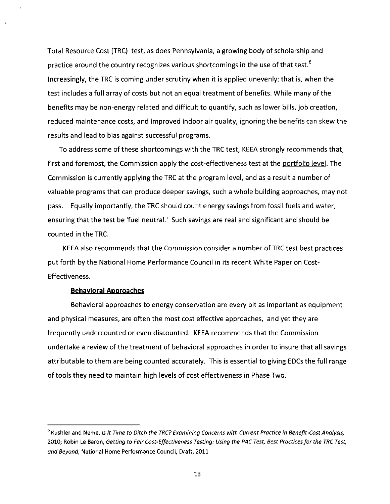Total Resource Cost (TRC) test, as does Pennsylvania, a growing body of scholarship and practice around the country recognizes various shortcomings in the use of that test.<sup>6</sup> Increasingly, the TRC is coming under scrutiny when it is applied unevenly; that is, when the test includes a full array of costs but not an equal treatment of benefits. While many of the benefits may be non-energy related and difficult to quantify, such as lower bills, job creation, reduced maintenance costs, and improved indoor air quality, ignoring the benefits can skew the results and lead to bias against successful programs.

To address some of these shortcomings with the TRC test, KEEA strongly recommends that, first and foremost, the Commission apply the cost-effectiveness test at the portfolio level. The Commission is currently applying the TRC at the program level, and as a result a number of valuable programs that can produce deeper savings, such a whole building approaches, may not pass. Equally importantly, the TRC should count energy savings from fossil fuels and water, ensuring that the test be 'fuel neutral.' Such savings are real and significant and should be counted in the TRC.

KEEA also recommends that the Commission consider a number of TRC test best practices put forth by the National Home Performance Council in its recent White Paper on Cost-Effectiveness.

## **Behavioral Approaches**

Behavioral approaches to energy conservation are every bit as important as equipment and physical measures, are often the most cost effective approaches, and yet they are frequently undercounted or even discounted. KEEA recommends that the Commission undertake a review of the treatment of behavioral approaches in order to insure that all savings attributable to them are being counted accurately. This is essential to giving EDCs the full range of tools they need to maintain high levels of cost effectiveness in Phase Two.

 $^{\rm b}$  Kushler and Neme, Is It Time to Ditch the TRC? Examining Concerns with Current Practice in Benefit-Cost Analysis, 2010; Robin Le Baron, Getting to Fair Cost-Effectiveness Testing: Using the PAC Test, Best Practices for the TRC Test, and Beyond, National Home Performance Council, Draft, 2011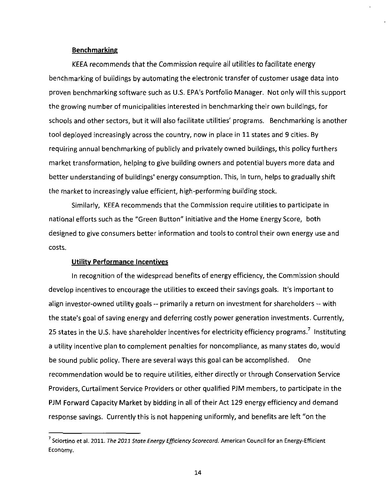## **Benchmarking**

KEEA recommends that the Commission require all utilities to facilitate energy benchmarking of buildings by automating the electronic transfer of customer usage data into proven benchmarking software such as U.S. EPA's Portfolio Manager. Not only will this support the growing number of municipalities interested in benchmarking their own buildings, for schools and other sectors, but it will also facilitate utilities' programs. Benchmarking is another tool deployed increasingly across the country, now in place in 11 states and 9 cities. By requiring annual benchmarking of publicly and privately owned buildings, this policy furthers market transformation, helping to give building owners and potential buyers more data and better understanding of buildings' energy consumption. This, in turn, helps to gradually shift the market to increasingly value efficient, high-performing building stock.

Similarly, KEEA recommends that the Commission require utilities to participate in national efforts such as the "Green Button" initiative and the Home Energy Score, both designed to give consumers better information and tools to control their own energy use and costs.

## **Utilitv Performance Incentives**

In recognition of the widespread benefits of energy efficiency, the Commission should develop incentives to encourage the utilities to exceed their savings goals. It's important to align investor-owned utility goals -- primarily a return on investment for shareholders -- with the state's goal of saving energy and deferring costly power generation investments. Currently, 25 states in the U.S. have shareholder incentives for electricity efficiency programs.<sup>7</sup> Instituting a utility incentive plan to complement penalties for noncompliance, as many states do, would be sound public policy. There are several ways this goal can be accomplished. One recommendation would be to require utilities, either directly or through Conservation Service Providers, Curtailment Service Providers or other qualified PJM members, to participate in the PJM Forward Capacity Market by bidding in all of their Act 129 energy efficiency and demand response savings. Currently this is not happening uniformly, and benefits are left "on the

<sup>7</sup> Sciortino et al. 2011. The 2011 State Energy Efficiency Scorecard. American Council for an Energy-Efficient Economy.